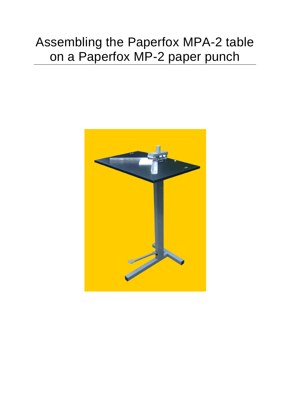## Assembling the Paperfox MPA-2 table on a Paperfox MP-2 paper punch

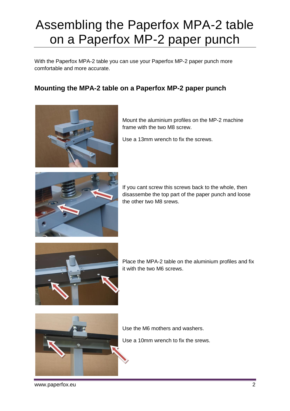## Assembling the Paperfox MPA-2 table on a Paperfox MP-2 paper punch

With the Paperfox MPA-2 table you can use your Paperfox MP-2 paper punch more comfortable and more accurate.

## **Mounting the MPA-2 table on a Paperfox MP-2 paper punch**



Mount the aluminium profiles on the MP-2 machine frame with the two M8 screw.

Use a 13mm wrench to fix the screws.



If you cant screw this screws back to the whole, then disassembe the top part of the paper punch and loose the other two M8 srews.



Place the MPA-2 table on the aluminium profiles and fix it with the two M6 screws.



Use the M6 mothers and washers.

Use a 10mm wrench to fix the srews.

www.paperfox.eu 2